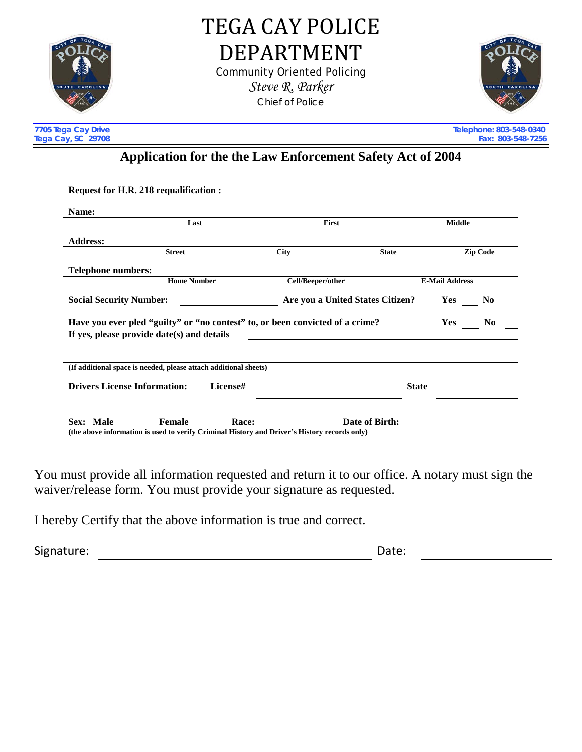

TEGA CAY POLICE DEPARTMENT Community Oriented Policing

*Steve R. Parker* Chief of Police



**Tega Cay, SC 29708** 

l,

**7705 Tega Cay Drive Telephone: 803-548-0340**

## **Application for the the Law Enforcement Safety Act of 2004**

**Request for H.R. 218 requalification :**

| Name:                                                                                                                                                |                                                                                                                 |                                  |                |                       |
|------------------------------------------------------------------------------------------------------------------------------------------------------|-----------------------------------------------------------------------------------------------------------------|----------------------------------|----------------|-----------------------|
|                                                                                                                                                      | Last                                                                                                            | First                            |                | <b>Middle</b>         |
| <b>Address:</b>                                                                                                                                      |                                                                                                                 |                                  |                |                       |
|                                                                                                                                                      | <b>Street</b>                                                                                                   | <b>City</b>                      | <b>State</b>   | <b>Zip Code</b>       |
| <b>Telephone numbers:</b>                                                                                                                            |                                                                                                                 |                                  |                |                       |
|                                                                                                                                                      | <b>Home Number</b>                                                                                              | Cell/Beeper/other                |                | <b>E-Mail Address</b> |
| <b>Social Security Number:</b>                                                                                                                       |                                                                                                                 | Are you a United States Citizen? |                | Yes<br>N <sub>0</sub> |
| Have you ever pled "guilty" or "no contest" to, or been convicted of a crime?<br>N <sub>0</sub><br>Yes<br>If yes, please provide date(s) and details |                                                                                                                 |                                  |                |                       |
|                                                                                                                                                      | (If additional space is needed, please attach additional sheets)                                                |                                  |                |                       |
| <b>Drivers License Information:</b>                                                                                                                  | License#                                                                                                        |                                  | <b>State</b>   |                       |
| Sex: Male                                                                                                                                            | Female<br>Race:<br>(the above information is used to verify Criminal History and Driver's History records only) |                                  | Date of Birth: |                       |

You must provide all information requested and return it to our office. A notary must sign the waiver/release form. You must provide your signature as requested.

I hereby Certify that the above information is true and correct.

Signature: Date: Date: Date: Date: Date: Date: Date: Date: Date: Date: Date: Date: Date: Date: Date: Date: Date: Date: Date: Date: Date: Date: Date: Date: Date: Date: Date: Date: Date: Date: Date: Date: Date: Date: Date: D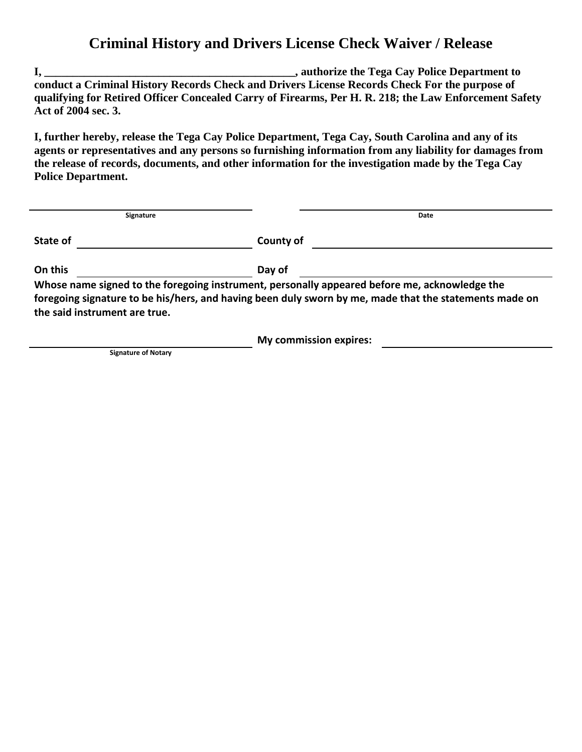## **Criminal History and Drivers License Check Waiver / Release**

**I, \_\_\_\_\_\_\_\_\_\_\_\_\_\_\_\_\_\_\_\_\_\_\_\_\_\_\_\_\_\_\_\_\_\_\_\_\_\_\_\_\_\_\_\_, authorize the Tega Cay Police Department to conduct a Criminal History Records Check and Drivers License Records Check For the purpose of qualifying for Retired Officer Concealed Carry of Firearms, Per H. R. 218; the Law Enforcement Safety Act of 2004 sec. 3.**

**I, further hereby, release the Tega Cay Police Department, Tega Cay, South Carolina and any of its agents or representatives and any persons so furnishing information from any liability for damages from the release of records, documents, and other information for the investigation made by the Tega Cay Police Department.**

| Signature                     | Date                                                                                                                                                                                                    |
|-------------------------------|---------------------------------------------------------------------------------------------------------------------------------------------------------------------------------------------------------|
| State of                      | County of                                                                                                                                                                                               |
| On this                       | Day of                                                                                                                                                                                                  |
| the said instrument are true. | Whose name signed to the foregoing instrument, personally appeared before me, acknowledge the<br>foregoing signature to be his/hers, and having been duly sworn by me, made that the statements made on |
|                               | <b>My commission expires:</b>                                                                                                                                                                           |

**Signature of Notary**